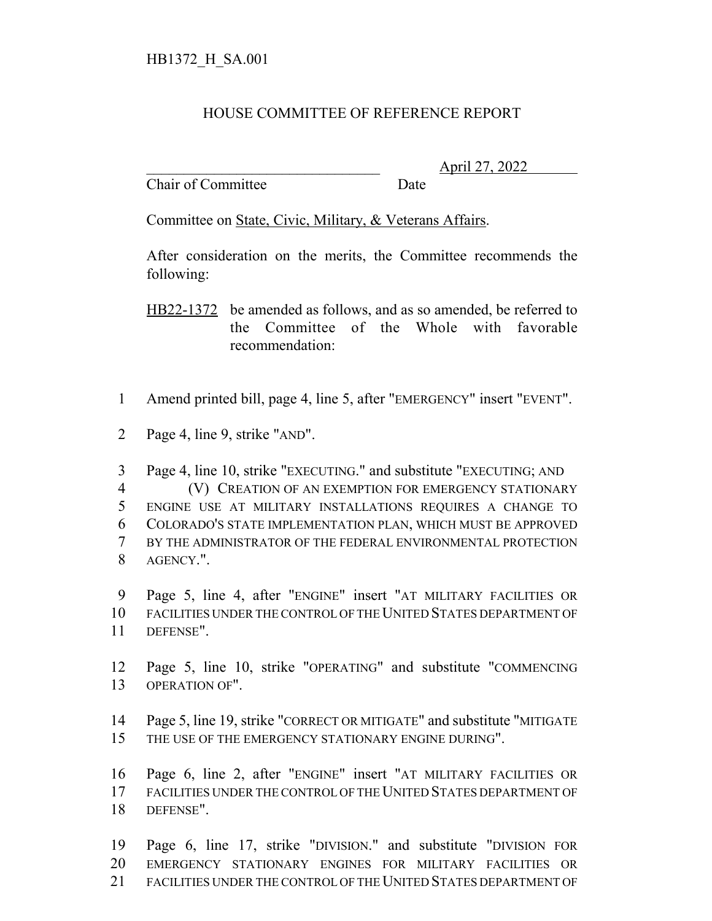## HOUSE COMMITTEE OF REFERENCE REPORT

Chair of Committee Date

\_\_\_\_\_\_\_\_\_\_\_\_\_\_\_\_\_\_\_\_\_\_\_\_\_\_\_\_\_\_\_ April 27, 2022

Committee on State, Civic, Military, & Veterans Affairs.

After consideration on the merits, the Committee recommends the following:

HB22-1372 be amended as follows, and as so amended, be referred to the Committee of the Whole with favorable recommendation:

- Amend printed bill, page 4, line 5, after "EMERGENCY" insert "EVENT".
- Page 4, line 9, strike "AND".
- Page 4, line 10, strike "EXECUTING." and substitute "EXECUTING; AND (V) CREATION OF AN EXEMPTION FOR EMERGENCY STATIONARY ENGINE USE AT MILITARY INSTALLATIONS REQUIRES A CHANGE TO COLORADO'S STATE IMPLEMENTATION PLAN, WHICH MUST BE APPROVED BY THE ADMINISTRATOR OF THE FEDERAL ENVIRONMENTAL PROTECTION AGENCY.".

 Page 5, line 4, after "ENGINE" insert "AT MILITARY FACILITIES OR FACILITIES UNDER THE CONTROL OF THE UNITED STATES DEPARTMENT OF DEFENSE".

 Page 5, line 10, strike "OPERATING" and substitute "COMMENCING OPERATION OF".

 Page 5, line 19, strike "CORRECT OR MITIGATE" and substitute "MITIGATE 15 THE USE OF THE EMERGENCY STATIONARY ENGINE DURING".

 Page 6, line 2, after "ENGINE" insert "AT MILITARY FACILITIES OR FACILITIES UNDER THE CONTROL OF THE UNITED STATES DEPARTMENT OF DEFENSE".

 Page 6, line 17, strike "DIVISION." and substitute "DIVISION FOR EMERGENCY STATIONARY ENGINES FOR MILITARY FACILITIES OR FACILITIES UNDER THE CONTROL OF THE UNITED STATES DEPARTMENT OF